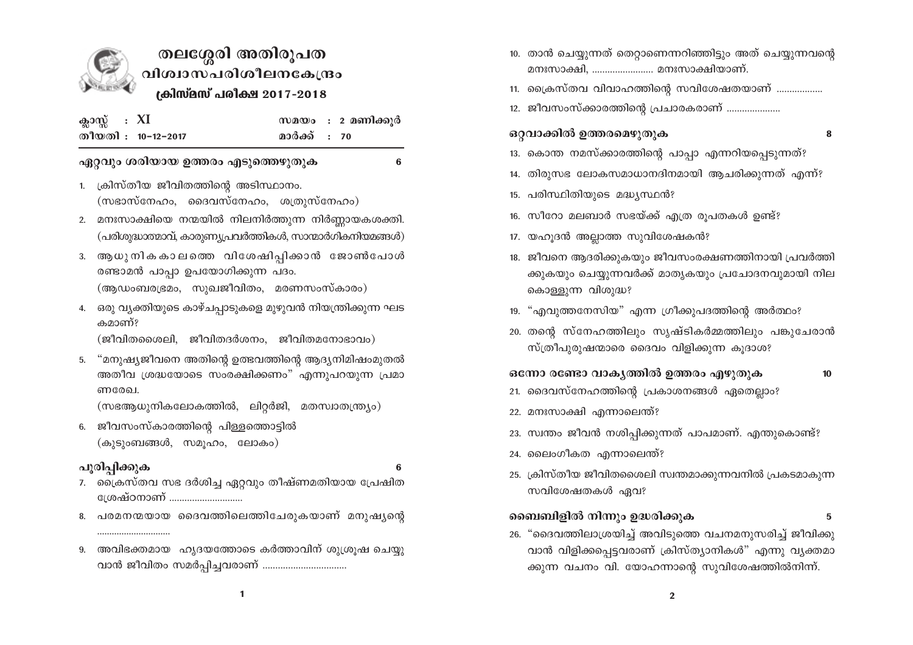

# തലശ്ശേരി അതിരൂപത വിശ്വാസപരിശീലനകേന്ദ്രം ക്രിസ്മസ് പരിക്ഷ 2017-2018

| ക്ലാസ്സ്: $XI$ |                    |              | സമയം : 2 മണിക്കുർ |
|----------------|--------------------|--------------|-------------------|
|                | തീയതി : 10-12-2017 | മാർക്ക് : 70 |                   |

#### ഏറ്റവും ശരിയായ ഉത്തരം എടുത്തെഴുതുക

6

- 1. ക്രിസ്തീയ ജീവിതത്തിന്റെ അടിസ്ഥാനം.  $(m$ ഭാസ്നേഹം, ദൈവസ്നേഹം, ശത്രുസ്നേഹം)
- 2. മനഃസാക്ഷിയെ നന്മയിൽ നിലനിർത്തുന്ന നിർണ്ണായകശക്തി. (പരിശുദ്ധാത്മാവ്, കാരുണ്യപ്രവർത്തികൾ, സാന്മാർഗികനിയമങ്ങൾ)
- 3. ആധുനികകാലത്തെ വിശേഷിപ്പിക്കാൻ ജോൺപോൾ രണ്ടാമൻ പാപ്പാ ഉപയോഗിക്കുന്ന പദം. (ആഡംബരഭ്രമം, സുഖജീവിതം, മരണസംസ്കാരം)
- 4. ഒരു വ്യക്തിയുടെ കാഴ്ചപ്പാടുകളെ മുഴുവൻ നിയന്ത്രിക്കുന്ന ഘട കമാണ്?
	- $(g$ ിവിതശൈലി, ജീവിതദർശനം, ജീവിതമനോഭാവം)
- 5. "മനുഷ്യജീവനെ അതിന്റെ ഉത്ഭവത്തിന്റെ ആദ്യനിമിഷംമുതൽ അതീവ ശ്രദ്ധയോടെ സംരക്ഷിക്കണം" എന്നുപറയുന്ന പ്രമാ ണരേഖ.

(സഭആധുനികലോകത്തിൽ, ലിറ്റർജി, മതസ്വാതന്ത്ര്യം)

6. ജീവസംസ്കാരത്തിന്റെ പിള്ളത്തൊട്ടിൽ (കുടുംബങ്ങൾ, സമൂഹം, ലോകം)

## പൂരിപ്പിക്കുക

- 
- 7. ക്രൈസ്തവ സഭ ദർശിച്ച ഏറ്റവും തീഷ്ണമതിയായ പ്രേഷിത േശഷ്ഠനാണ് ............................
- 8. പരമനന്മയായ ദൈവത്തിലെത്തിചേരുകയാണ് മനുഷ്യന്റെ
- 9. അവിഭക്തമായ ഹൃദയത്തോടെ കർത്താവിന് ശുശ്രൂഷ ചെയ്യു വാൻ ജീവിതം സമർപ്പിച്ചവരാണ് ..................................
- 10. താൻ ചെയ്യുന്നത് തെറ്റാണെന്നറിഞ്ഞിട്ടും അത് ചെയ്യുന്നവന്റെ മനഃസാക്ഷി, ........................ മനഃസാക്ഷിയാണ്.
- 11. ക്രൈസ്തവ വിവാഹത്തിന്റെ സവിശേഷതയാണ് ..................
- 12. ജീവസംസ്ക്കാരത്തിന്റെ പ്രചാരകരാണ് ....................

## ഒറ്റവാക്കിൽ ഉത്തരമെഴുതുക

8

5

- 13. കൊന്ത നമസ്ക്കാരത്തിന്റെ പാപ്പാ എന്നറിയപ്പെടുന്നത്?
- 14. തിരുസഭ ലോകസമാധാനദിനമായി ആചരിക്കുന്നത് എന്ന്?
- 15. പരിസ്ഥിതിയുടെ മദ്ധ്യസ്ഥൻ?
- 16. സീറോ മലബാർ സഭയ്ക്ക് എത്ര രൂപതകൾ ഉണ്ട്?
- 17. യഹൂദൻ അല്ലാത്ത സുവിശേഷകൻ?
- 18. ജീവനെ ആദരിക്കുകയും ജീവസംരക്ഷണത്തിനായി പ്രവർത്തി ക്കുകയും ചെയ്യുന്നവർക്ക് മാതൃകയും പ്രചോദനവുമായി നില കൊള്ളുന്ന വിശുദ്ധ?
- 19. "എവുത്തനേസിയ" എന്ന ഗ്രീക്കുപദത്തിന്റെ അർത്ഥം?
- 20. തന്റെ സ്നേഹത്തിലും സൃഷ്ടികർമ്മത്തിലും പങ്കുചേരാൻ സ്ത്രീപുരുഷന്മാരെ ദൈവം വിളിക്കുന്ന കൂദാശ?

ഒന്നോ രണ്ടോ വാകൃത്തിൽ ഉത്തരം എഴുതുക  $10$ 

- 21. ദൈവസ്നേഹത്തിന്റെ പ്രകാശനങ്ങൾ ഏതെല്ലാം?
- 22. മനഃസാക്ഷി എന്നാലെന്ത്?
- 23. സ്വന്തം ജീവൻ നശിപ്പിക്കുന്നത് പാപമാണ്. എന്തുകൊണ്ട്?
- 24. ലൈംഗീകത എന്നാലെന്ത്?
- 25. ക്രിസ്തീയ ജീവിതശൈലി സ്വന്തമാക്കുന്നവനിൽ പ്രകടമാകുന്ന സവിശേഷതകൾ ഏവ?

## ബൈബിളിൽ നിന്നും ഉദ്ധരിക്കുക

26. "ദൈവത്തിലാശ്രയിച്ച് അവിടുത്തെ വചനമനുസരിച്ച് ജീവിക്കു വാൻ വിളിക്കപ്പെട്ടവരാണ് ക്രിസ്ത്യാനികൾ" എന്നു വ്യക്തമാ ക്കുന്ന വചനം വി. യോഹന്നാന്റെ സുവിശേഷത്തിൽനിന്ന്.